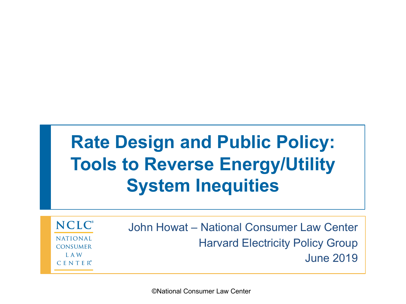## **Rate Design and Public Policy: Tools to Reverse Energy/Utility System Inequities**

**NCLC**<sup>®</sup> **NATIONAL CONSUMER** L A W  $C$  E N T E  $R^{\circ}$ 

John Howat – National Consumer Law Center Harvard Electricity Policy Group June 2019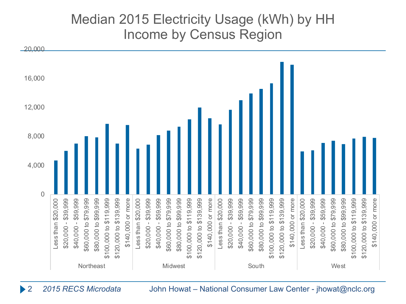#### Median 2015 Electricity Usage (kWh) by HH Income by Census Region



2 *2015 RECS Microdata* John Howat – National Consumer Law Center - jhowat@nclc.org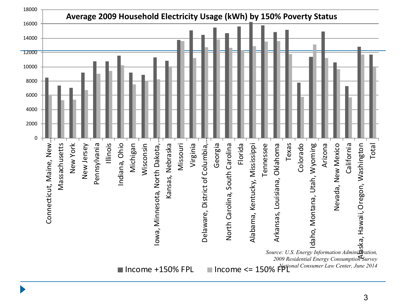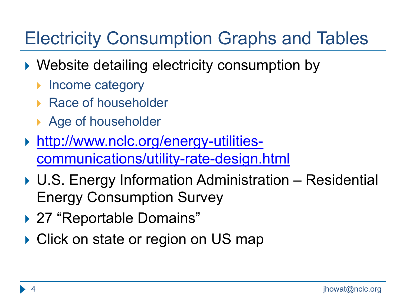## Electricity Consumption Graphs and Tables

- ▶ Website detailing electricity consumption by
	- Income category
	- ▶ Race of householder
	- ▶ Age of householder
- } http://www.nclc.org/energy-utilities[communications/utility-rate-design.html](http://www.nclc.org/energy-utilities-communications/utility-rate-design.html)
- ▶ U.S. Energy Information Administration Residential Energy Consumption Survey
- ▶ 27 "Reportable Domains"
- ▶ Click on state or region on US map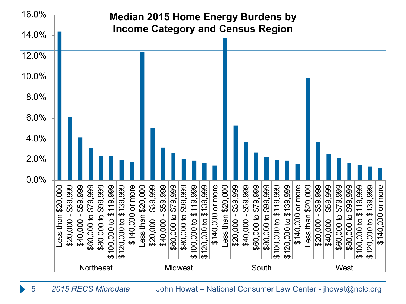

5 *2015 RECS Microdata* John Howat – National Consumer Law Center - jhowat@nclc.org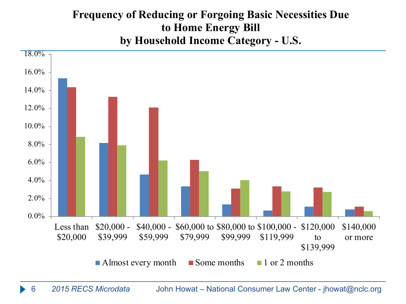#### **Frequency of Reducing or Forgoing Basic Necessities Due to Home Energy Bill by Household Income Category - U.S.**

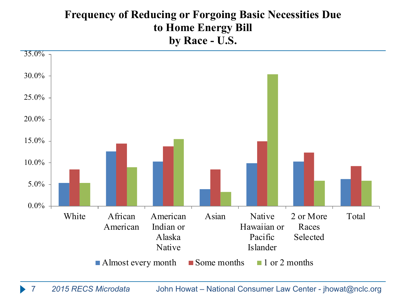#### **Frequency of Reducing or Forgoing Basic Necessities Due to Home Energy Bill by Race - U.S.**

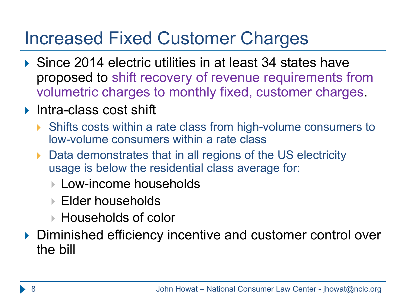### Increased Fixed Customer Charges

- ▶ Since 2014 electric utilities in at least 34 states have proposed to shift recovery of revenue requirements from volumetric charges to monthly fixed, customer charges.
- ▶ Intra-class cost shift
	- ▶ Shifts costs within a rate class from high-volume consumers to low-volume consumers within a rate class
	- ▶ Data demonstrates that in all regions of the US electricity usage is below the residential class average for:
		- **▶ Low-income households**
		- } Elder households
		- $\blacktriangleright$  Households of color
- } Diminished efficiency incentive and customer control over the bill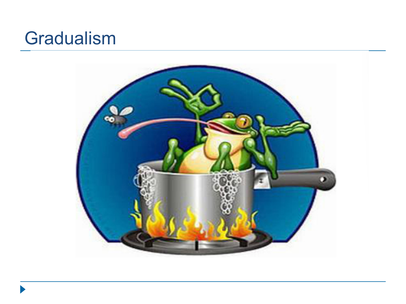#### **Gradualism**

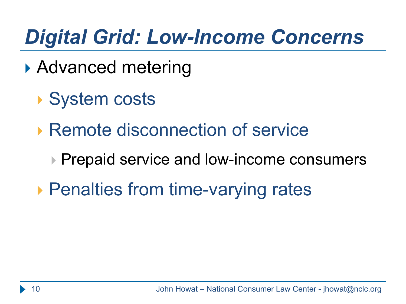# *Digital Grid: Low-Income Concerns*

- ▶ Advanced metering
	- ▶ System costs
	- ▶ Remote disconnection of service
		- ▶ Prepaid service and low-income consumers
	- ▶ Penalties from time-varying rates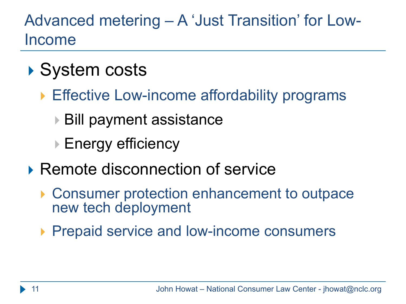#### Advanced metering – A 'Just Transition' for Low-Income

- ▶ System costs
	- ▶ Effective Low-income affordability programs
		- **▶ Bill payment assistance**
		- **▶ Energy efficiency**
- ▶ Remote disconnection of service
	- ▶ Consumer protection enhancement to outpace new tech deployment
	- ▶ Prepaid service and low-income consumers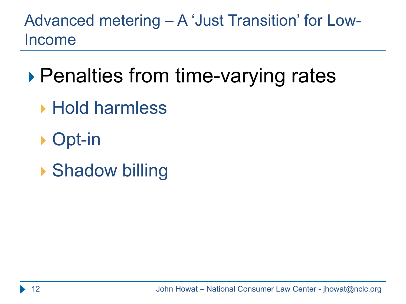Advanced metering – A 'Just Transition' for Low-Income

- ▶ Penalties from time-varying rates
	- ▶ Hold harmless
	- ▶ Opt-in
	- ▶ Shadow billing